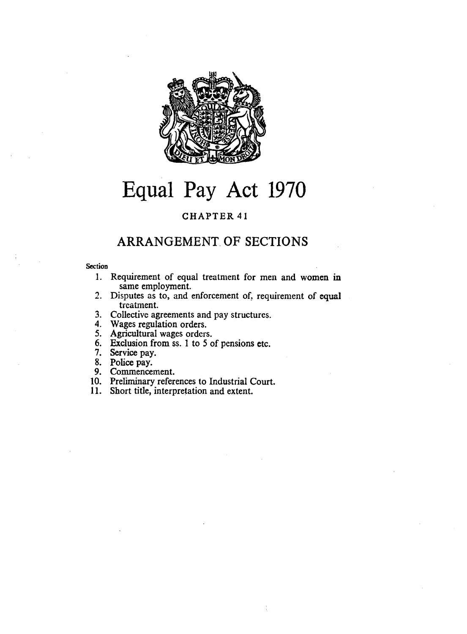

# Equal Pay Act 1970

## CHAPTER 41

# ARRANGEMENT. OF SECTIONS

#### Section

- 1. Requirement of equal treatment for men and women in same employment.
- 2. Disputes as to, and enforcement of. requirement of equal treatment.
- 3. Collective agreements and pay structures.
- 4. Wages regulation orders.
- 5. Agricultural wages orders.
- 6. Exclusion from ss. 1 to 5 of pensions etc.
- 7. Service pay.
- 8. Police pay.
- 9. Commencement.
- 10. Preliminary references to Industrial Court.
- 11. Short title, interpretation and extent.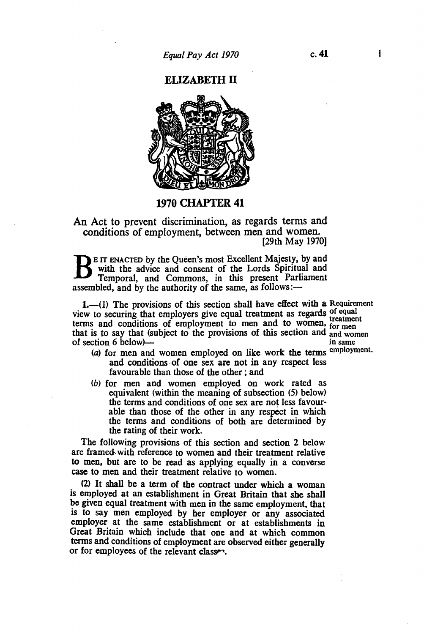#### ELIZABETH II



### 1970 CHAPTER 41

An Act to prevent discrimination, as regards terms and conditions of employment, between men and women. [29th May 1970]

BE rr ENACTED by the Queen's most Excellent Majesty, by and with the advice and consent of the Lords Spiritual and Temporal, and Commons, in this present Parliament assembled, and by the authority of the same, as follows:-

1.-(1) The provisions of this section shall have effect with a Requirement view to securing that employers give equal treatment as regards of equal view to securing that employers give equal deal included to security treatment terms and conditions of employment to men and to women, for men that is to say that (subject to the provisions of this section and and women  $\sigma$  and  $\sigma$  in same in same in same

- (a) for men and women employed on like work the terms employment. and conditions. of one sex are not in any respect less favourable than those of the other ; and
- (b) for men and women employed on work rated as equivalent (within the meaning of subsection (5) below) the terms and conditions of one sex are not less favourable than those of the other in any respect in which the terms and conditions of both are determined by the rating of their work.

The following provisions of this section and section 2 below are framed with reference to women and their treatment relative to men, but are to be read as applying equally in a converse case to men and their treatment relative to women.

(2) It shall be a term of the contract under which a woman is employed at an establishment in Great Britain that she shall be given equal treatment with men in the same employment, that is to say men employed by her employer or any associated employer at the same establishment or at establishments in Great Britain which include that one and at which common terms and conditions of employment are observed either generally or for employees of the relevant classri.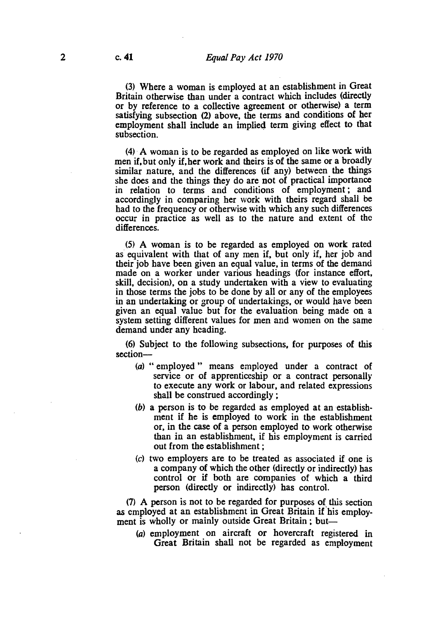(3) Where a woman is employed at an establishment in Great Britain otherwise than under a contract which includes (directly or by reference to a collective agreement or otherwise) a term satisfying subsection (2) above, the terms and conditions of her employment shall include an implied term giving effect to that subsection.

(4) A woman is to be regarded as employed on like work with men if,but only if,her work and theirs is of the same or a broadly similar nature, and the differences (if any) between the things she does and the things they do are not of practical importance in relation to terms and conditions of employment ; and accordingly in comparing her work with theirs regard shall be had to the frequency or otherwise with which any such differences occur in practice as well as to the nature and extent of the differences.

(5) A woman is to be regarded as employed on work rated as equivalent with that of any men if, but only if, her job and their job have been given an equal value, in terms of the demand made on a worker under various headings (for instance effort, skill, decision), on a study undertaken with a view to evaluating in those terms the jobs to be done by all or any of the employees in an undertaking or group of undertakings, or would have been given an equal value but for the evaluation being made on a system setting different values for men and women on the same demand under any heading.

(6) Subject to the following subsections, for purposes of this section-

- (a) " employed " means employed under a contract of service or of apprenticeship or a contract personally to execute any work or labour, and related expressions shall be construed accordingly ;
- (b) a person is to be regarded as employed at an establishment if he is employed to work in the establishment or, in the case of a person employed to work otherwise than in an establishment, if his employment is carried out from the establishment ;
- (c) two employers are to be treated as associated if one is a company of which the other (directly or indirectly) has control or if both are companies of which a third person (directly or indirectly) has control.

(7) A person is not to be regarded for purposes of this section as employed at an establishment in Great Britain if his employment is wholly or mainly outside Great Britain; but—

(a) employment on aircraft or hovercraft registered in Great Britain shall not be regarded as employment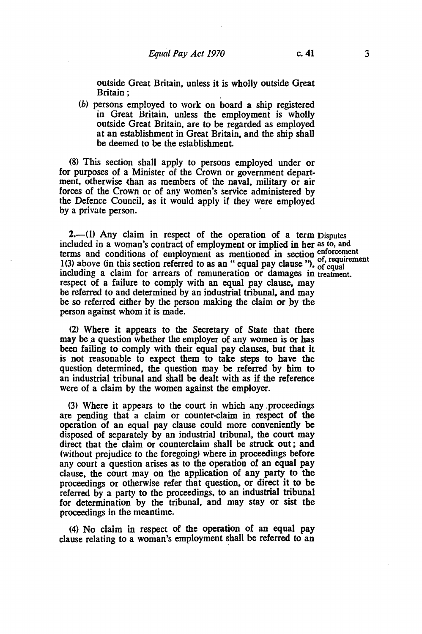outside Great Britain, unless it is wholly outside Great Britain ;

(b) persons employed to work on board a ship registered in Great Britain, unless the employment is wholly outside Great Britain, are to be regarded as employed at an establishment in Great Britain, and the ship shall be deemed to be the establishment.

(8) This section shall apply to persons employed under or for purposes of a Minister of the Crown or government department, otherwise than as members of the naval, military or air forces of the Crown or of any women's service administered by the Defence Council, as it would apply if they were employed by a private person.

 $2.-(1)$  Any claim in respect of the operation of a term Disputes included in a woman's contract of employment or implied in her as to, and terms and conditions of employment as mentioned in section enforcement 1(3) above (in this section referred to as an " equal pay clause "), of equal including a claim for arrears of remuneration or damages in treatment. respect of a failure to comply with an equal pay clause, may be referred to and determined by an industrial tribunal, and may be so referred either by the person making the claim or by the person against whom it is made.

(2) Where it appears to the Secretary of State that there may be a question whether the employer of any women is or has been failing to comply with their equal pay clauses, but that it is not reasonable to expect them to take steps to have the question determined, the question may be referred by him to an industrial tribunal and shall be dealt with as if the reference were of a claim by the women against the employer.

(3) Where it appears to the court in which any.proceedings are pending that a claim or counter-claim in respect of the operation of an equal pay clause could more conveniently be disposed of separately by an industrial tribunal, the court may direct that the claim or counterclaim shall be struck out ; and (without prejudice to the foregoing) where in proceedings before any court a question arises as to the operation of an equal pay clause, the court may on the application of any party to the proceedings or otherwise refer that question, or direct it to be referred by a party to the proceedings, to an industrial tribunal for determination by the tribunal, and may stay or sist the proceedings in the meantime.

(4) No claim in respect of the operation of an equal pay clause relating to a woman's employment shall be referred to an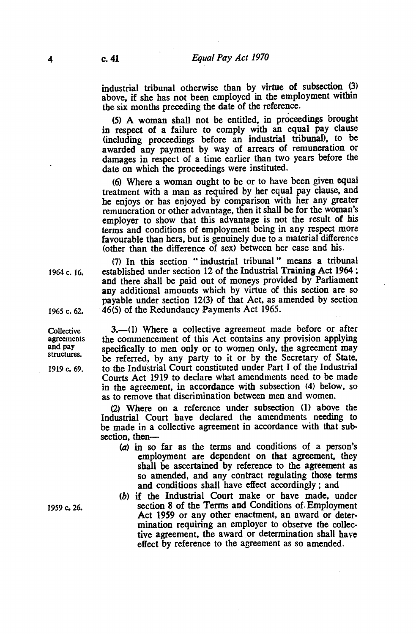industrial tribunal otherwise than by virtue of subsection (3) above, if she has not been employed in the employment within the six months preceding the date of the reference.

(5) A woman shall not be entitled, in proceedings brought in respect of a failure to comply with an equal pay clause (including proceedings before an industrial tribunal), to be awarded any payment by way of arrears of remuneration or damages in respect of a time earlier than two years before the date on which the proceedings were instituted.

(6) Where a woman ought to be or to have been given equal treatment with a man as required by her equal pay clause, and he enjoys or has enjoyed by comparison with her any greater remuneration or other advantage, then it shall be for the woman's employer to show that this advantage is not the result of his terms and conditions of employment being in any respect more favourable than hers, but is genuinely due to a material difference (other than the difference of sex) between her case and his.

(7) In this section " industrial tribunal " means a tribunal <sup>1964</sup>c. 16. established under section 12 of the Industrial Training Act 1964 ; and there shall be paid out of moneys provided by Parliament any additional amounts which by virtue of this section are so payable under section 12(3) of that Act, as amended by section <sup>1965</sup>c. 62. 46(5) of the Redundancy Payments Act 1965.

Collective 3.—(1) Where a collective agreement made before or after agreements the commencement of this Act contains any provision applying agreements the commencement of this Act contains any provision applying<br>and pay<br>specifically to men only or to women only the agreement may and pay specifically to men only or to women only, the agreement may structures. be referred, by any party to it or by the Secretary of State. 1919 c. 69. to the Industrial Court constituted under Part I of the Industrial Courts Act 1919 to declare what amendments need to be made in the agreement, in accordance with subsection (4) below, so as to remove that discrimination between men and women.

> (2) Where on a reference under subsection (1) above the Industrial Court have declared the amendments needing to be made in a collective agreement in accordance with that subsection, then-

- (a) in so far as the terms and conditions of a person's employment are dependent on that agreement, they shall be ascertained by reference to the agreement as so amended, and any contract regulating those terms and conditions shall have effect accordingly ; and
- (b) if the Industrial Court make or have made, under 1959 c. 26. Section 8 of the Terms and Conditions of Employment Act 1959 or any other enactment, an award or determination requiring an employer to observe the collective agreement, the award or determination shall have effect by reference to the agreement as so amended.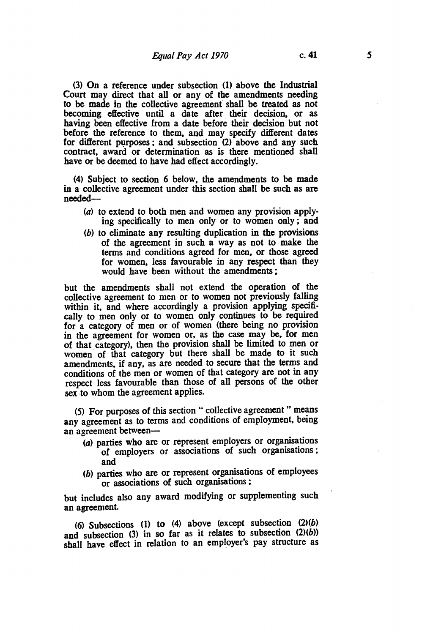(3) On a reference under subsection (1) above the Industrial Court may direct that all or any of the amendments needing to be made in the collective agreement shall be treated as not becoming effective until a date after their decision, or as having been effective from a date before their decision but not before the reference to them, and may specify different dates for different purposes ; and subsection (2) above and any such contract, award or determination as is there mentioned shall have or be deemed to have had effect accordingly.

(4) Subject to section 6 below, the amendments to be made in a collective agreement under this section shall be such as are needed-

- (a) to extend to both men and women any provision applying specifically to men only or to women only ; and
- (b) to eliminate any resulting duplication in the provisions of the agreement in such a way as not to make the terms and conditions agreed for men, or those agreed for women, less favourable in any respect than they would have been without the amendments ;

but the amendments shall not extend the operation of the collective agreement to men or to women not previously falling within it, and where accordingly a provision applying specifically to men only or to women only continues to be required for a category of men or of women (there being no provision in the agreement for women or, as the case may be, for men of that category), then the provision shall be limited to men or women of that category but there shall be made to it such amendments, if any, as are needed to secure that the terms and conditions of the men or women of that category are not in any respect less favourable than those of all persons of the other sex to whom the agreement applies.

(5) For purposes of this section " collective agreement " means any agreement as to terms and conditions of employment, being an agreement between-

- (a) parties who are or represent employers or organisations of employers or associations of such organisations ; and
- (b) parties who are or represent organisations of employees or associations of such organisations ;

but includes also any award modifying or supplementing such an agreement.

(6) Subsections (1) to (4) above (except subsection  $(2)(b)$ and subsection (3) in so far as it relates to subsection  $(2)(b)$ ) shall have effect in relation to an employer's pay structure as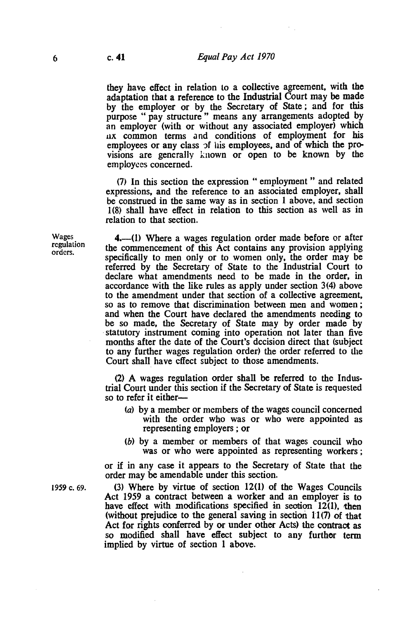they have effect in relation to a collective agreement, with the adaptation that a reference to the Industrial Court may be made by the employer or by the Secretary of State ; and for this purpose " pay structure " means any arrangements adopted by an employer (with or without any associated employer) which iix common terms and conditions of employment for his employees or any class of his employees, and of which the provisions are generally known or open to be known by the employees concerned.

(7) In this section the expression " employment " and related expressions, and the reference to an associated employer, shall be construed in the same way as in section 1 above, and section 1(8) shall have effect in relation to this section as well as in relation to that section.

4.--(1) Where a wages regulation order made before or after the commencement of this Act contains any provision applying specifically to men only or to women only, the order may be referred by the Secretary of State to the Industrial Court to declare what amendments need to be made in the order, in accordance with the like rules as apply under section 3(4) above to the amendment under that section of a collective agreement, so as to remove that discrimination between men and women ; and when the Court have declared the amendments needing to be so made, the Secretary of State may by order made by statutory instrument coming into operation not later than five months after the date of the Court's decision direct that (subject to any further wages regulation order) the order referred to the Court shall have effect subject to those amendments.

(2) A wages regulation order shall be referred to the Industrial Court under this section if the Secretary of State is requested so to refer it either-

- (a) by a member or members of the wages council concerned with the order who was or who were appointed as representing employers ; or
- (b) by a member or members of that wages council who was or who were appointed as representing workers ;

or if in any case it appears to the Secretary of State that the order may be amendable under this section.

1959 c. 69. (3) Where by virtue of section 12(1) of the Wages Councils Act 1959 a contract between a worker and an employer is to have effect with modifications specified in section 12(1), then (without prejudice to the general saving in section 11(7) of that Act for rights conferred by or under other Acts) the contract as so modified shall have effect subject to any further term implied by virtue of section 1 above.

Wages regulation orders.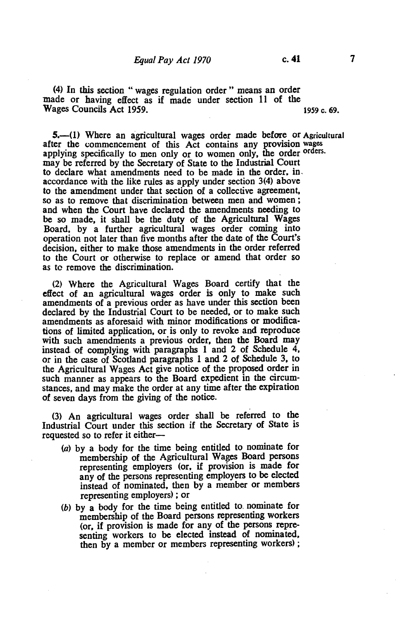(4) In this section " wages regulation order " means an order made or having effect as if made under section 11 of the Wages Councils Act 1959. 1959 c. 69.

5.-(1) Where an agricultural wages order made before or Agricultural after the commencement of this Act contains any provision wages applying specifically to men only or to women only, the order orders. may be referred by the Secretary of State to the Industrial Court to declare what amendments need to be made in the order, in, accordance with the like rules as apply under section 3(4) above to the amendment under that section of a collective agreement, so as to remove that discrimination between men and women ; and when the Court have declared the amendments needing to be so made, it shall be the duty of the Agricultural Wages Board, by a further agricultural wages order coming into operation not later than five months after the date of the Court's decision, either to make those amendments in the order referred to the Court or otherwise to replace or amend that order so as to remove the discrimination.

(2) Where the Agricultural Wages Board certify that the effect of an agricultural wages order is only to make such amendments of a previous order as have under this section been declared by the Industrial Court to be needed, or to make such amendments as aforesaid with minor modifications or modifications of limited application, or is only to revoke and reproduce with such amendments a previous order, then the Board may instead of complying with paragraphs 1 and 2 of Schedule 4, or in the case of Scotland paragraphs 1 and 2 of Schedule 3. to the Agricultural Wages Act give notice of the proposed order in such manner as appears to the Board expedient in the circumstances, and may make the order at any time after the expiration of seven days from the giving of the notice.

(3) An agricultural wages order shall be referred to the Industrial Court under this section if the Secretary of State is requested so to refer it either-

- (a) by a body for the time being entitled to nominate for membership of the Agricultural Wages Board persons representing employers (or, if provision is made for any of the persons representing employers to be elected instead of nominated, then by a member or members representing employers) ; or
- (b) by a body for the time being entitled to. nominate for membership of the Board persons representing workers (or, if provision is made for any of the persons representing workers to be elected instead of nominated, then by a member or members representing workers) ;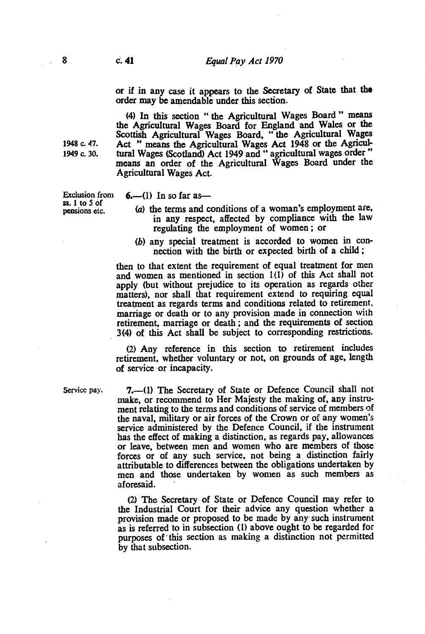or if in any case it appears to the Secretary of State that the order may be amendable under this section.

(4) In this section " the Agricultural Wages Board " means the Agricultural Wages Board for England and Wales or the Scottish Agricultural Wages Board, " the Agricultural Wages 1948 c. 47. Act " means the Agricultural Wages Act 1948 or the Agricul-1948 c. 47. Act " means the Agricultural Wages Act 1948 or the Agricul-<br>1949 c. 30. tural Wages (Scotland) Act 1949 and " agricultural wages order " means an order of the Agricultural Wages Board under the Agricultural Wages Act.

Exclusion from  $6,-(1)$  In so far as-

- $(a)$  the terms and conditions of a woman's employment are, in any respect, affected by compliance with the law regulating the employment of women ; or
- (b) any special treatment is accorded to women in connection with the birth or expected birth of a child ;

then to that extent the requirement of equal treatment for men and women as mentioned in section 1(1) of this Act shall not apply (but without prejudice to its operation as regards other matters), nor shall that requirement extend to requiring equal treatment as regards terms and conditions related to retirement, marriage or death or to any provision made in connection with retirement, marriage or death; and the requirements of section 3(4) of this Act shall be subject to corresponding restrictions.

(2) Any reference in this section to retirement includes retirement, whether voluntary or not, on grounds of age, length of service or incapacity.

Service pay. 7.—(1) The Secretary of State or Defence Council shall not make, or recommend to Her Majesty the making of, any instrument relating to the terms and conditions of service of members of the naval, military or air forces of the Crown or of any women's service administered by the Defence Council, if the instrument has the effect of making a distinction, as regards pay, allowances or leave, between men and women who are members of those forces or of any such service, not being a distinction fairly attributable to differences between the obligations undertaken by men and those undertaken by women as such members as aforesaid.

> (2) The Secretary of State or Defence Council may refer to the Industrial Court for their advice any question whether a provision made or proposed to be made by any- such instrument as is referred to in subsection (1) above ought to be regarded for purposes of'this section as making a distinction not permitted by that subsection.

ss. 1 to 5 of pensions etc.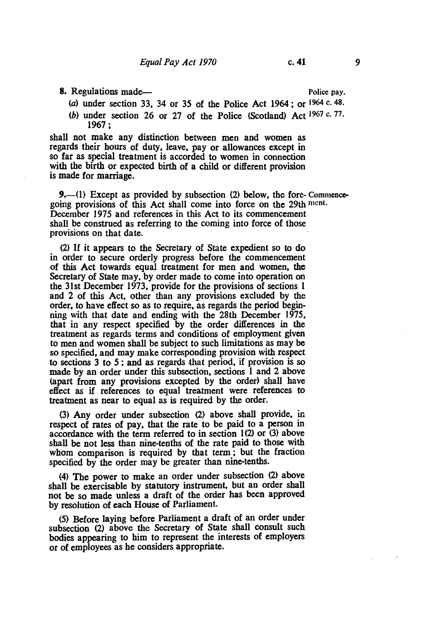- (a) under section 33, 34 or 35 of the Police Act 1964 ; or 1964 c. 48.
- (b) under section 26 or 27 of the Police (Scotland) Act  $1967$  c. 77. 1967 ;

shall not make any distinction between men and women as regards their hours of duty, leave, pay or allowances except in so far as special treatment is accorded to women in connection with the birth or expected birth of a child or different provision is made for marriage.

9.-(1) Except as provided by subsection (2) below, the fore- Commencegoing provisions of this Act shall come into force on the 29th ment. December 1975 and references in this Act to its commencement shall be construed as referring to the coming into force of those provisions on that date.

(2) If it appears to the Secretary of State expedient so to do in order to secure orderly progress before the commencement of this Act towards equal treatment for men and women, the Secretary of State may, by order made to come into operation on the 31st December 1973, provide for the provisions of sections <sup>1</sup> and 2 of this Act, other than any provisions excluded by the order, to have effect so as to require, as regards the period beginning with that date and ending with the 28th December 1975, that in any respect specified by the order differences in the treatment as regards terms and conditions of employment given to men and women shall be subject to such limitations as may be so specified, and may make corresponding provision with respect to sections 3 to 5 ; and as regards that period, if provision is so made by an order under this subsection, sections 1 and 2 above (apart from any provisions excepted by the order) shall have effect as if references to equal treatment were references to treatment as near to equal as is required by the order.

(3) Any order under subsection (2) above shall provide, in respect of rates of pay, that the rate to be paid to a person in accordance with the term referred to in section 1(2) or (3) above shall be not less than nine-tenths of the rate paid to those with whom comparison is required by that term ; but the fraction specified by the order may be greater than nine-tenths.

(4) The power to make an order under subsection (2) above shall be exercisable by statutory instrument, but an order shall not be so made unless a draft of the order has been approved by resolution of each House of Parliament.

(5) Before laying before Parliament a draft of an order under subsection (2) above the Secretary of State shall consult such bodies appearing to him to represent the interests of employers or of employees as he considers appropriate.